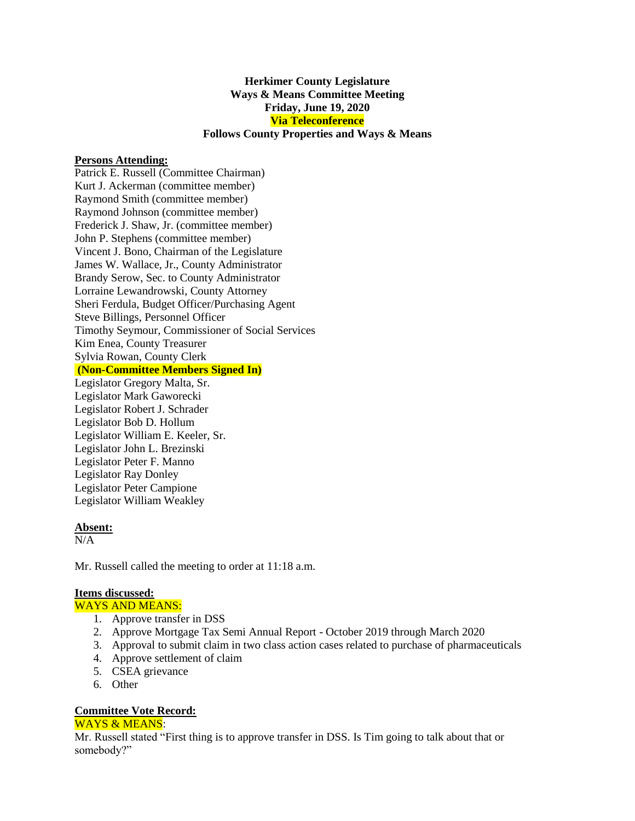## **Herkimer County Legislature Ways & Means Committee Meeting Friday, June 19, 2020 Via Teleconference Follows County Properties and Ways & Means**

## **Persons Attending:**

Patrick E. Russell (Committee Chairman) Kurt J. Ackerman (committee member) Raymond Smith (committee member) Raymond Johnson (committee member) Frederick J. Shaw, Jr. (committee member) John P. Stephens (committee member) Vincent J. Bono, Chairman of the Legislature James W. Wallace, Jr., County Administrator Brandy Serow, Sec. to County Administrator Lorraine Lewandrowski, County Attorney Sheri Ferdula, Budget Officer/Purchasing Agent Steve Billings, Personnel Officer Timothy Seymour, Commissioner of Social Services Kim Enea, County Treasurer Sylvia Rowan, County Clerk **(Non-Committee Members Signed In)** Legislator Gregory Malta, Sr. Legislator Mark Gaworecki Legislator Robert J. Schrader Legislator Bob D. Hollum Legislator William E. Keeler, Sr. Legislator John L. Brezinski Legislator Peter F. Manno Legislator Ray Donley Legislator Peter Campione Legislator William Weakley

#### **Absent:**

 $N/A$ 

Mr. Russell called the meeting to order at 11:18 a.m.

## **Items discussed:**

### WAYS AND MEANS:

- 1. Approve transfer in DSS
- 2. Approve Mortgage Tax Semi Annual Report October 2019 through March 2020
- 3. Approval to submit claim in two class action cases related to purchase of pharmaceuticals
- 4. Approve settlement of claim
- 5. CSEA grievance
- 6. Other

# **Committee Vote Record:**

#### WAYS & MEANS:

Mr. Russell stated "First thing is to approve transfer in DSS. Is Tim going to talk about that or somebody?"